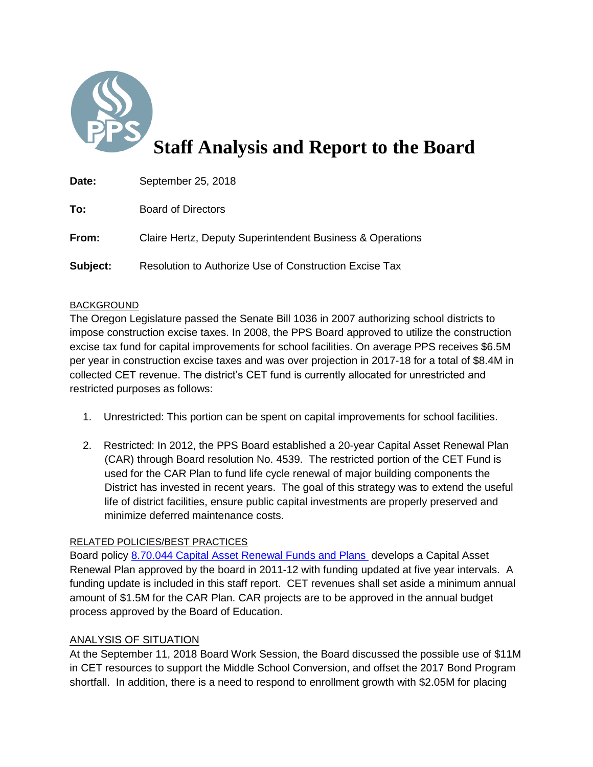

# **Staff Analysis and Report to the Board**

| Date:    | September 25, 2018                                        |
|----------|-----------------------------------------------------------|
| To:      | <b>Board of Directors</b>                                 |
| From:    | Claire Hertz, Deputy Superintendent Business & Operations |
| Subject: | Resolution to Authorize Use of Construction Excise Tax    |

## BACKGROUND

The Oregon Legislature passed the Senate Bill 1036 in 2007 authorizing school districts to impose construction excise taxes. In 2008, the PPS Board approved to utilize the construction excise tax fund for capital improvements for school facilities. On average PPS receives \$6.5M per year in construction excise taxes and was over projection in 2017-18 for a total of \$8.4M in collected CET revenue. The district's CET fund is currently allocated for unrestricted and restricted purposes as follows:

- 1. Unrestricted: This portion can be spent on capital improvements for school facilities.
- 2. Restricted: In 2012, the PPS Board established a 20-year Capital Asset Renewal Plan (CAR) through Board resolution No. 4539. The restricted portion of the CET Fund is used for the CAR Plan to fund life cycle renewal of major building components the District has invested in recent years. The goal of this strategy was to extend the useful life of district facilities, ensure public capital investments are properly preserved and minimize deferred maintenance costs.

# RELATED POLICIES/BEST PRACTICES

Board policy [8.70.044 Capital Asset Renewal Funds and Plans](https://www.pps.net/cms/lib/OR01913224/Centricity/Domain/4814/8.70.044-P.pdf) develops a Capital Asset Renewal Plan approved by the board in 2011-12 with funding updated at five year intervals. A funding update is included in this staff report. CET revenues shall set aside a minimum annual amount of \$1.5M for the CAR Plan. CAR projects are to be approved in the annual budget process approved by the Board of Education.

#### ANALYSIS OF SITUATION

At the September 11, 2018 Board Work Session, the Board discussed the possible use of \$11M in CET resources to support the Middle School Conversion, and offset the 2017 Bond Program shortfall. In addition, there is a need to respond to enrollment growth with \$2.05M for placing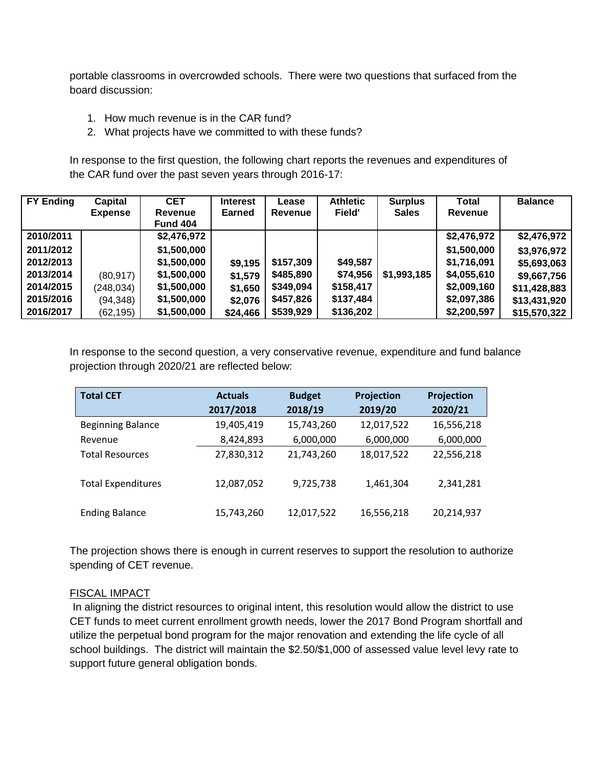portable classrooms in overcrowded schools. There were two questions that surfaced from the board discussion:

- 1. How much revenue is in the CAR fund?
- 2. What projects have we committed to with these funds?

In response to the first question, the following chart reports the revenues and expenditures of the CAR fund over the past seven years through 2016-17:

| <b>FY Ending</b> | Capital<br><b>Expense</b> | <b>CET</b><br>Revenue<br><b>Fund 404</b> | <b>Interest</b><br><b>Earned</b> | Lease<br>Revenue | <b>Athletic</b><br>Field' | <b>Surplus</b><br><b>Sales</b> | Total<br>Revenue | <b>Balance</b> |
|------------------|---------------------------|------------------------------------------|----------------------------------|------------------|---------------------------|--------------------------------|------------------|----------------|
| 2010/2011        |                           | \$2,476,972                              |                                  |                  |                           |                                | \$2,476,972      | \$2,476,972    |
| 2011/2012        |                           | \$1,500,000                              |                                  |                  |                           |                                | \$1,500,000      | \$3,976,972    |
| 2012/2013        |                           | \$1,500,000                              | \$9,195                          | \$157,309        | \$49,587                  |                                | \$1,716,091      | \$5,693,063    |
| 2013/2014        | (80, 917)                 | \$1,500,000                              | \$1,579                          | \$485,890        | \$74,956                  | \$1,993,185                    | \$4,055,610      | \$9,667,756    |
| 2014/2015        | (248, 034)                | \$1,500,000                              | \$1,650                          | \$349,094        | \$158,417                 |                                | \$2,009,160      | \$11,428,883   |
| 2015/2016        | (94, 348)                 | \$1,500,000                              | \$2,076                          | \$457,826        | \$137,484                 |                                | \$2,097,386      | \$13,431,920   |
| 2016/2017        | (62, 195)                 | \$1,500,000                              | \$24,466                         | \$539,929        | \$136,202                 |                                | \$2,200,597      | \$15,570,322   |

In response to the second question, a very conservative revenue, expenditure and fund balance projection through 2020/21 are reflected below:

| <b>Total CET</b>          | <b>Actuals</b> | <b>Budget</b> | Projection | Projection |  |
|---------------------------|----------------|---------------|------------|------------|--|
|                           | 2017/2018      | 2018/19       | 2019/20    | 2020/21    |  |
| <b>Beginning Balance</b>  | 19,405,419     | 15,743,260    | 12,017,522 | 16,556,218 |  |
| Revenue                   | 8,424,893      | 6,000,000     | 6,000,000  | 6,000,000  |  |
| <b>Total Resources</b>    | 27,830,312     | 21,743,260    | 18,017,522 | 22,556,218 |  |
| <b>Total Expenditures</b> | 12,087,052     | 9,725,738     | 1,461,304  | 2,341,281  |  |
| <b>Ending Balance</b>     | 15,743,260     | 12,017,522    | 16,556,218 | 20,214,937 |  |

The projection shows there is enough in current reserves to support the resolution to authorize spending of CET revenue.

# FISCAL IMPACT

In aligning the district resources to original intent, this resolution would allow the district to use CET funds to meet current enrollment growth needs, lower the 2017 Bond Program shortfall and utilize the perpetual bond program for the major renovation and extending the life cycle of all school buildings. The district will maintain the \$2.50/\$1,000 of assessed value level levy rate to support future general obligation bonds.